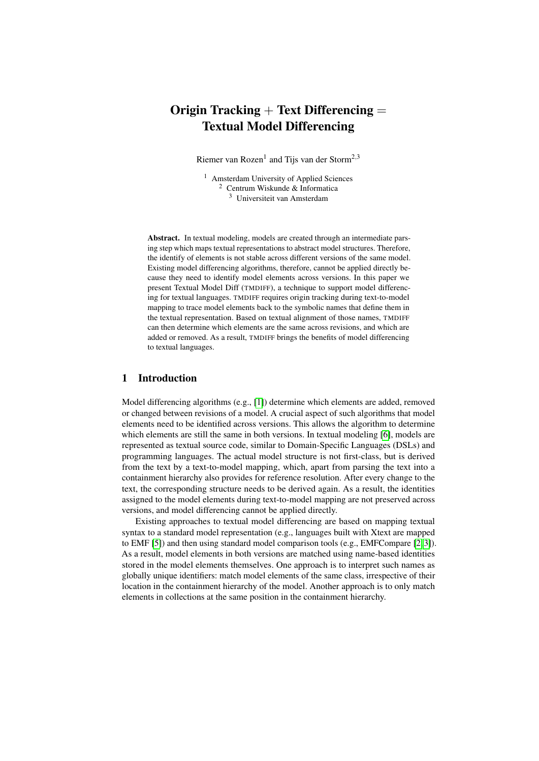# Origin Tracking  $+$  Text Differencing  $=$ Textual Model Differencing

Riemer van Rozen<sup>1</sup> and Tijs van der Storm<sup>2,3</sup>

<sup>1</sup> Amsterdam University of Applied Sciences <sup>2</sup> Centrum Wiskunde & Informatica <sup>3</sup> Universiteit van Amsterdam

Abstract. In textual modeling, models are created through an intermediate parsing step which maps textual representations to abstract model structures. Therefore, the identify of elements is not stable across different versions of the same model. Existing model differencing algorithms, therefore, cannot be applied directly because they need to identify model elements across versions. In this paper we present Textual Model Diff (TMDIFF), a technique to support model differencing for textual languages. TMDIFF requires origin tracking during text-to-model mapping to trace model elements back to the symbolic names that define them in the textual representation. Based on textual alignment of those names, TMDIFF can then determine which elements are the same across revisions, and which are added or removed. As a result, TMDIFF brings the benefits of model differencing to textual languages.

## 1 Introduction

Model differencing algorithms (e.g., [\[1\]](#page-13-0)) determine which elements are added, removed or changed between revisions of a model. A crucial aspect of such algorithms that model elements need to be identified across versions. This allows the algorithm to determine which elements are still the same in both versions. In textual modeling [\[6\]](#page-14-0), models are represented as textual source code, similar to Domain-Specific Languages (DSLs) and programming languages. The actual model structure is not first-class, but is derived from the text by a text-to-model mapping, which, apart from parsing the text into a containment hierarchy also provides for reference resolution. After every change to the text, the corresponding structure needs to be derived again. As a result, the identities assigned to the model elements during text-to-model mapping are not preserved across versions, and model differencing cannot be applied directly.

Existing approaches to textual model differencing are based on mapping textual syntax to a standard model representation (e.g., languages built with Xtext are mapped to EMF [\[5\]](#page-14-1)) and then using standard model comparison tools (e.g., EMFCompare [\[2,](#page-13-1) [3\]](#page-13-2)). As a result, model elements in both versions are matched using name-based identities stored in the model elements themselves. One approach is to interpret such names as globally unique identifiers: match model elements of the same class, irrespective of their location in the containment hierarchy of the model. Another approach is to only match elements in collections at the same position in the containment hierarchy.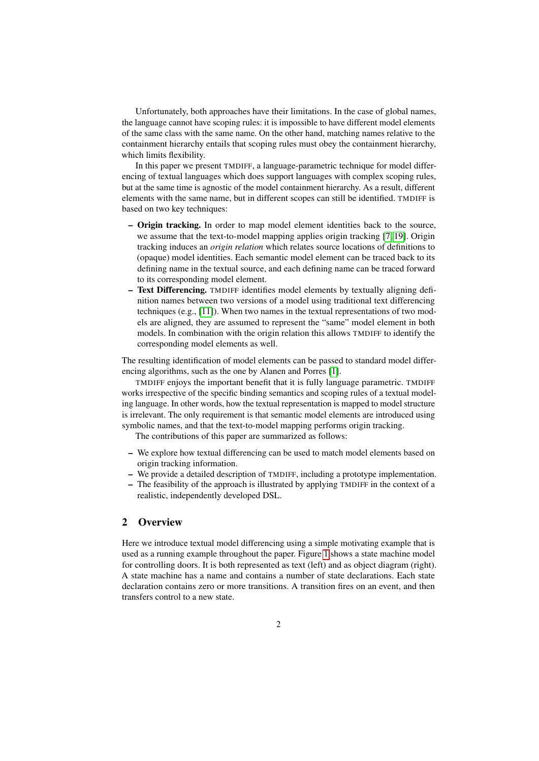Unfortunately, both approaches have their limitations. In the case of global names, the language cannot have scoping rules: it is impossible to have different model elements of the same class with the same name. On the other hand, matching names relative to the containment hierarchy entails that scoping rules must obey the containment hierarchy, which limits flexibility.

In this paper we present TMDIFF, a language-parametric technique for model differencing of textual languages which does support languages with complex scoping rules, but at the same time is agnostic of the model containment hierarchy. As a result, different elements with the same name, but in different scopes can still be identified. TMDIFF is based on two key techniques:

- Origin tracking. In order to map model element identities back to the source, we assume that the text-to-model mapping applies origin tracking [\[7,](#page-14-2) [19\]](#page-14-3). Origin tracking induces an *origin relation* which relates source locations of definitions to (opaque) model identities. Each semantic model element can be traced back to its defining name in the textual source, and each defining name can be traced forward to its corresponding model element.
- Text Differencing. TMDIFF identifies model elements by textually aligning definition names between two versions of a model using traditional text differencing techniques (e.g., [\[11\]](#page-14-4)). When two names in the textual representations of two models are aligned, they are assumed to represent the "same" model element in both models. In combination with the origin relation this allows TMDIFF to identify the corresponding model elements as well.

The resulting identification of model elements can be passed to standard model differencing algorithms, such as the one by Alanen and Porres [\[1\]](#page-13-0).

TMDIFF enjoys the important benefit that it is fully language parametric. TMDIFF works irrespective of the specific binding semantics and scoping rules of a textual modeling language. In other words, how the textual representation is mapped to model structure is irrelevant. The only requirement is that semantic model elements are introduced using symbolic names, and that the text-to-model mapping performs origin tracking.

The contributions of this paper are summarized as follows:

- We explore how textual differencing can be used to match model elements based on origin tracking information.
- We provide a detailed description of TMDIFF, including a prototype implementation.
- The feasibility of the approach is illustrated by applying TMDIFF in the context of a realistic, independently developed DSL.

### 2 Overview

Here we introduce textual model differencing using a simple motivating example that is used as a running example throughout the paper. Figure [1](#page-2-0) shows a state machine model for controlling doors. It is both represented as text (left) and as object diagram (right). A state machine has a name and contains a number of state declarations. Each state declaration contains zero or more transitions. A transition fires on an event, and then transfers control to a new state.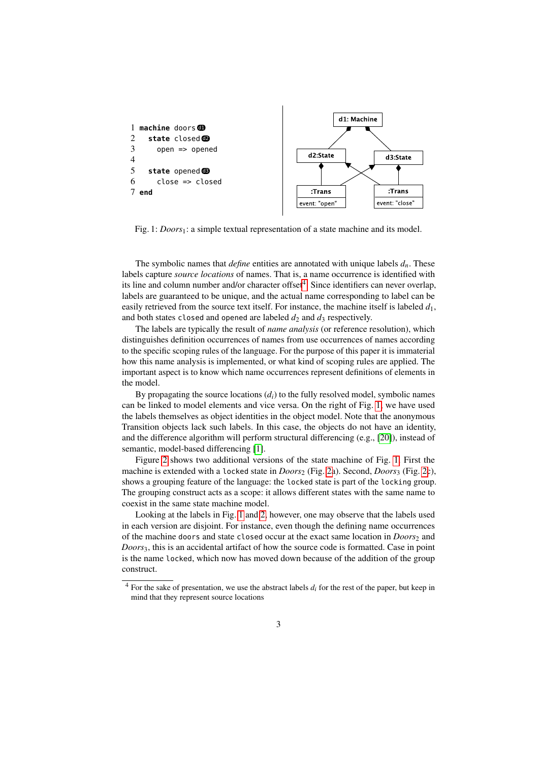<span id="page-2-0"></span>

Fig. 1: *Doors*<sub>1</sub>: a simple textual representation of a state machine and its model.

The symbolic names that *define* entities are annotated with unique labels *dn*. These labels capture *source locations* of names. That is, a name occurrence is identified with its line and column number and/or character offset<sup>[4](#page-2-1)</sup>. Since identifiers can never overlap, labels are guaranteed to be unique, and the actual name corresponding to label can be easily retrieved from the source text itself. For instance, the machine itself is labeled *d*1, and both states closed and opened are labeled  $d_2$  and  $d_3$  respectively.

The labels are typically the result of *name analysis* (or reference resolution), which distinguishes definition occurrences of names from use occurrences of names according to the specific scoping rules of the language. For the purpose of this paper it is immaterial how this name analysis is implemented, or what kind of scoping rules are applied. The important aspect is to know which name occurrences represent definitions of elements in the model.

By propagating the source locations  $(d_i)$  to the fully resolved model, symbolic names can be linked to model elements and vice versa. On the right of Fig. [1,](#page-2-0) we have used the labels themselves as object identities in the object model. Note that the anonymous Transition objects lack such labels. In this case, the objects do not have an identity, and the difference algorithm will perform structural differencing (e.g., [\[20\]](#page-14-5)), instead of semantic, model-based differencing [\[1\]](#page-13-0).

Figure [2](#page-3-0) shows two additional versions of the state machine of Fig. [1.](#page-2-0) First the machine is extended with a locked state in *Doors*<sup>2</sup> (Fig. [2a](#page-3-0)). Second, *Doors*<sup>3</sup> (Fig. [2c](#page-3-0)), shows a grouping feature of the language: the locked state is part of the locking group. The grouping construct acts as a scope: it allows different states with the same name to coexist in the same state machine model.

Looking at the labels in Fig. [1](#page-2-0) and [2,](#page-3-0) however, one may observe that the labels used in each version are disjoint. For instance, even though the defining name occurrences of the machine doors and state closed occur at the exact same location in *Doors*<sup>2</sup> and *Doors*3, this is an accidental artifact of how the source code is formatted. Case in point is the name locked, which now has moved down because of the addition of the group construct.

<span id="page-2-1"></span><sup>4</sup> For the sake of presentation, we use the abstract labels *d<sup>i</sup>* for the rest of the paper, but keep in mind that they represent source locations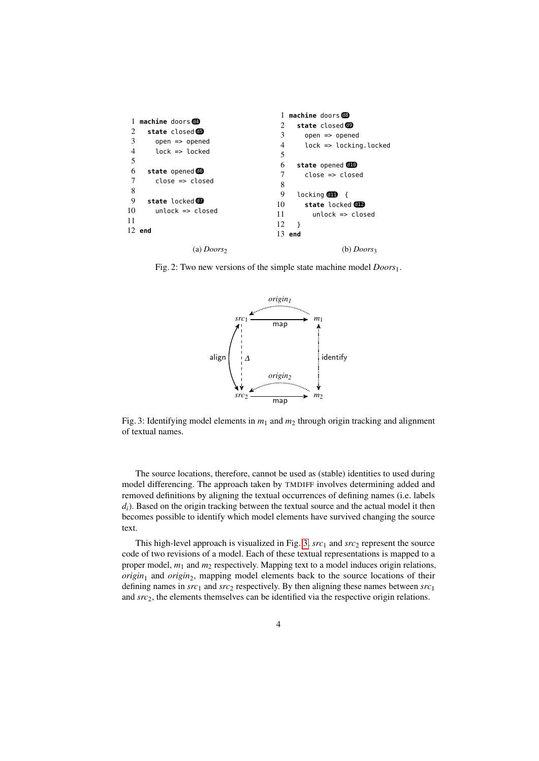<span id="page-3-0"></span>

|                    |                                                                           | machine doors <b>CB</b>                                                                                                    |
|--------------------|---------------------------------------------------------------------------|----------------------------------------------------------------------------------------------------------------------------|
|                    | machine doors CD                                                          | $\mathcal{D}_{\cdot}$<br>state closed CD                                                                                   |
| 2<br>3<br>4<br>5   | state closed <b>GD</b><br>$open \Rightarrow opened$<br>$lock$ => $locked$ | 3<br>$open \Rightarrow opened$<br>4<br>lock => locking.locked<br>5                                                         |
| 6<br>7             | state opened CD<br>$close \Rightarrow closed$                             | 6<br>state opened CID<br>7<br>$close \Rightarrow close$<br>8                                                               |
| 8<br>9<br>10<br>11 | state locked <b>to</b><br>$unlock \Rightarrow closed$<br>$12$ end         | 9<br>locking $\mathbf{CD}$ {<br>10<br>state locked <b>GD</b><br>11<br>$unlock \Rightarrow closed$<br>12<br>- }<br>$13$ end |
|                    | (a) <i>Doors</i> ?                                                        | Doors3                                                                                                                     |

<span id="page-3-1"></span>Fig. 2: Two new versions of the simple state machine model *Doors*1.



Fig. 3: Identifying model elements in  $m_1$  and  $m_2$  through origin tracking and alignment of textual names.

The source locations, therefore, cannot be used as (stable) identities to used during model differencing. The approach taken by TMDIFF involves determining added and removed definitions by aligning the textual occurrences of defining names (i.e. labels *di*). Based on the origin tracking between the textual source and the actual model it then becomes possible to identify which model elements have survived changing the source text.

This high-level approach is visualized in Fig. [3.](#page-3-1)  $src_1$  and  $src_2$  represent the source code of two revisions of a model. Each of these textual representations is mapped to a proper model,  $m_1$  and  $m_2$  respectively. Mapping text to a model induces origin relations,  $origin_1$  and  $origin_2$ , mapping model elements back to the source locations of their defining names in *src*<sup>1</sup> and *src*<sup>2</sup> respectively. By then aligning these names between *src*<sup>1</sup> and *src*2, the elements themselves can be identified via the respective origin relations.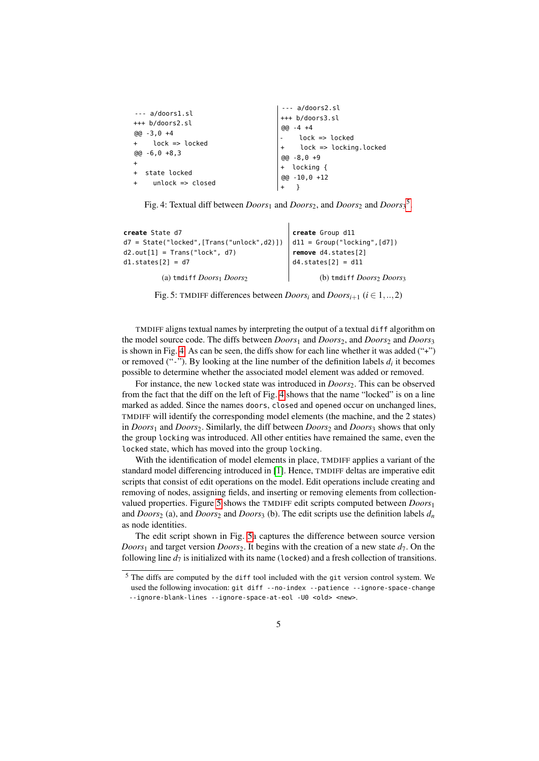<span id="page-4-1"></span>

| --- a/doors1.sl     | --- a/doors2.sl<br>  +++ b/doors3.sl |  |  |  |
|---------------------|--------------------------------------|--|--|--|
| +++ b/doors2.sl     | $@@ -4 +4$                           |  |  |  |
| $(0, 0, -3, 0, +4)$ | - lock => locked                     |  |  |  |
| + lock => locked    | $+$ lock => locking.locked           |  |  |  |
| $@@-6,0+8,3$        | $@@-8,0+9$                           |  |  |  |
| state locked        | + locking {                          |  |  |  |
| unlock => closed    | $@@-10,0+12$                         |  |  |  |

Fig. 4: Textual diff between *Doors*<sub>1</sub> and *Doors*<sub>2</sub>, and *Doors*<sub>2</sub> and *Doors*<sub>3</sub><sup>[5](#page-4-0)</sup>.

```
create State d7
d7 = State("locked",[Trans("unlock",d2)])
d2.out[1] = Trans("lock", d7)
d1.states[2] = d7(a) tmdiff Doors1 Doors2
                                            create Group d11
                                            d11 = Group("locking",[d7])
                                            remove d4.states[2]
                                            d4.states[2] = d11(b) tmdiff Doors2 Doors3
```
Fig. 5: TMDIFF differences between *Doors*<sub>*i*</sub> and *Doors*<sub>*i*+1</sub> (*i*  $\in$  1,..,2)

TMDIFF aligns textual names by interpreting the output of a textual diff algorithm on the model source code. The diffs between *Doors*<sup>1</sup> and *Doors*2, and *Doors*<sup>2</sup> and *Doors*<sup>3</sup> is shown in Fig. [4.](#page-4-1) As can be seen, the diffs show for each line whether it was added ("+") or removed (" $\cdot$ "). By looking at the line number of the definition labels  $d_i$  it becomes possible to determine whether the associated model element was added or removed.

For instance, the new locked state was introduced in *Doors*2. This can be observed from the fact that the diff on the left of Fig. [4](#page-4-1) shows that the name "locked" is on a line marked as added. Since the names doors, closed and opened occur on unchanged lines, TMDIFF will identify the corresponding model elements (the machine, and the 2 states) in *Doors*<sup>1</sup> and *Doors*2. Similarly, the diff between *Doors*<sup>2</sup> and *Doors*<sup>3</sup> shows that only the group locking was introduced. All other entities have remained the same, even the locked state, which has moved into the group locking.

With the identification of model elements in place, TMDIFF applies a variant of the standard model differencing introduced in [\[1\]](#page-13-0). Hence, TMDIFF deltas are imperative edit scripts that consist of edit operations on the model. Edit operations include creating and removing of nodes, assigning fields, and inserting or removing elements from collectionvalued properties. Figure [5](#page-4-2) shows the TMDIFF edit scripts computed between *Doors*<sup>1</sup> and *Doors*<sup>2</sup> (a), and *Doors*<sup>2</sup> and *Doors*<sup>3</sup> (b). The edit scripts use the definition labels *d<sup>n</sup>* as node identities.

The edit script shown in Fig. [5a](#page-4-2) captures the difference between source version *Doors*<sub>1</sub> and target version *Doors*<sub>2</sub>. It begins with the creation of a new state  $d_7$ . On the following line  $d_7$  is initialized with its name (locked) and a fresh collection of transitions.

<span id="page-4-0"></span> $5$  The diffs are computed by the diff tool included with the git version control system. We used the following invocation: git diff --no-index --patience --ignore-space-change --ignore-blank-lines --ignore-space-at-eol -U0 <old> <new>.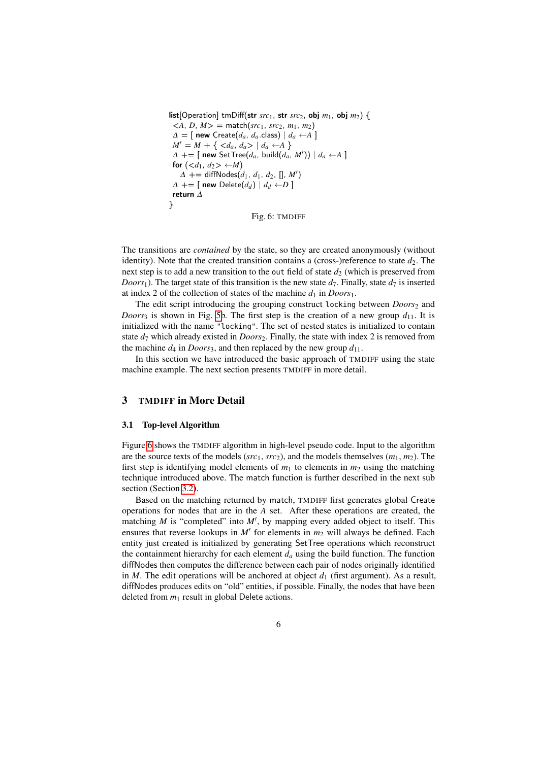```
list[Operation] tmDiff(str src<sub>1</sub>, str src<sub>2</sub>, obj m_1, obj m_2) {
 \langle A, D, M \rangle = \text{match}(src_1, src_2, m_1, m_2)\Delta = [ new Create(d_a, d_a.class) | d_a \leftarrow A ]
 M' = M + \{ \langle d_a, d_a \rangle | d_a \leftarrow A \}\Delta += [ new SetTree(d_a, \text{ build}(d_a, M')) \mid d_a \leftarrow A ]
 for (<i>d</i><sub>1</sub>, <i>d</i><sub>2</sub>) > \leftarrow M\Delta += diffNodes(d_1, d_1, d_2, [], M')
 \Delta += [ new Delete(d_d) | d_d \leftarrow D ]
 return ∆
}
```
Fig. 6: TMDIFF

The transitions are *contained* by the state, so they are created anonymously (without identity). Note that the created transition contains a (cross-)reference to state  $d_2$ . The next step is to add a new transition to the out field of state *d*<sup>2</sup> (which is preserved from *Doors*<sub>1</sub>). The target state of this transition is the new state  $d_7$ . Finally, state  $d_7$  is inserted at index 2 of the collection of states of the machine  $d_1$  in *Doors*<sub>1</sub>.

The edit script introducing the grouping construct locking between *Doors*<sub>2</sub> and *Doors*<sub>3</sub> is shown in Fig. [5b](#page-4-2). The first step is the creation of a new group  $d_{11}$ . It is initialized with the name "locking". The set of nested states is initialized to contain state  $d_7$  which already existed in *Doors*<sub>2</sub>. Finally, the state with index 2 is removed from the machine  $d_4$  in *Doors*<sub>3</sub>, and then replaced by the new group  $d_{11}$ .

In this section we have introduced the basic approach of TMDIFF using the state machine example. The next section presents TMDIFF in more detail.

### 3 TMDIFF in More Detail

#### 3.1 Top-level Algorithm

Figure [6](#page-5-0) shows the TMDIFF algorithm in high-level pseudo code. Input to the algorithm are the source texts of the models (*src*1, *src*2), and the models themselves (*m*1, *m*2). The first step is identifying model elements of  $m_1$  to elements in  $m_2$  using the matching technique introduced above. The match function is further described in the next sub section (Section [3.2\)](#page-6-0).

Based on the matching returned by match, TMDIFF first generates global Create operations for nodes that are in the *A* set. After these operations are created, the matching  $M$  is "completed" into  $M'$ , by mapping every added object to itself. This ensures that reverse lookups in  $M'$  for elements in  $m_2$  will always be defined. Each entity just created is initialized by generating SetTree operations which reconstruct the containment hierarchy for each element  $d_a$  using the build function. The function diffNodes then computes the difference between each pair of nodes originally identified in  $M$ . The edit operations will be anchored at object  $d_1$  (first argument). As a result, diffNodes produces edits on "old" entities, if possible. Finally, the nodes that have been deleted from  $m_1$  result in global Delete actions.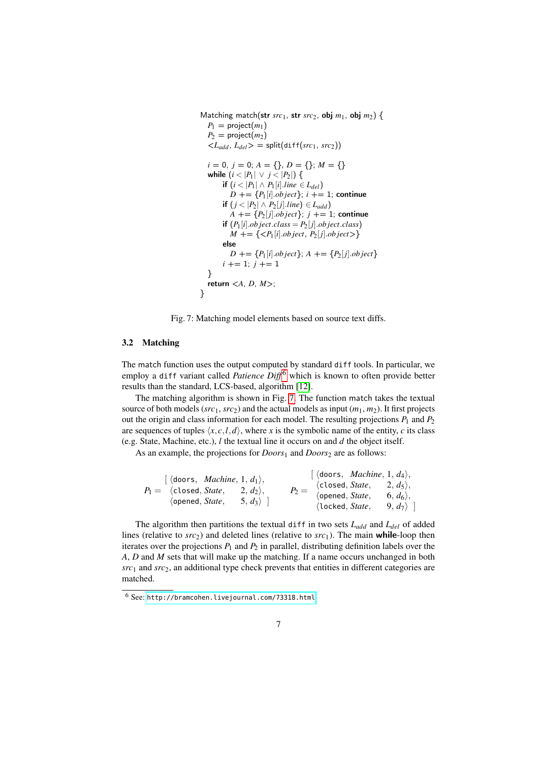```
Matching match(str src_1, str src_2, obj m_1, obj m_2) {
  P_1 = project(m_1)
  P_2 = project(m_2)
  \langle L_{add}, L_{del} \rangle = split(diff(src<sub>1</sub>, src<sub>2</sub>))
  i = 0, j = 0; A = \{\}, D = \{\}; M = \{\}while (i < |P_1| \vee j < |P_2|) {
       if (i < |P_1| ∧ P_1[i].line ∈ L_{del}D += {P_1[i] \cdot object}; i += 1; continue
       if (j < |P_2| \land P_2[j].line) \in L_{add}A += {P_2[j].object}; j += 1; continue
       if (P_1[i].object.class = P_2[j].object.classM += {\langle P_1[i].object, P_2[j].object\rangle}
       else
          D += \{P_1[i].object\}; A += \{P_2[j].object\}i + = 1; j + = 1}
  return <A, D, M>;
}
```
Fig. 7: Matching model elements based on source text diffs.

### <span id="page-6-0"></span>3.2 Matching

The match function uses the output computed by standard diff tools. In particular, we employ a diff variant called *Patience Diff*<sup>[6](#page-6-1)</sup> which is known to often provide better results than the standard, LCS-based, algorithm [\[12\]](#page-14-6).

The matching algorithm is shown in Fig. [7.](#page-6-2) The function match takes the textual source of both models (*src*1, *src*2) and the actual models as input (*m*1, *m*2). It first projects out the origin and class information for each model. The resulting projections  $P_1$  and  $P_2$ are sequences of tuples  $\langle x, c, l, d \rangle$ , where *x* is the symbolic name of the entity, *c* its class (e.g. State, Machine, etc.), *l* the textual line it occurs on and *d* the object itself.

As an example, the projections for *Doors*<sup>1</sup> and *Doors*<sup>2</sup> are as follows:

|                                                                                                               | $\int \langle$ doors, <i>Machine</i> , 1, $d_4$ , |
|---------------------------------------------------------------------------------------------------------------|---------------------------------------------------|
| $\int \langle \text{doors}, \text{ Machine}, 1, d_1 \rangle,$<br>$P_1 = \langle$ closed, State,<br>$2, d_2$ , | $\langle$ closed, <i>State</i> ,<br>$2, d_5$ ,    |
| $5, d_3 \rangle$<br>$\langle$ opened, $State,$                                                                | $6, d_6$ ,                                        |
|                                                                                                               | (locked, State,<br>$9, d_7$                       |

The algorithm then partitions the textual diff in two sets *Ladd* and *Ldel* of added lines (relative to  $src_2$ ) and deleted lines (relative to  $src_1$ ). The main **while**-loop then iterates over the projections  $P_1$  and  $P_2$  in parallel, distributing definition labels over the *A*, *D* and *M* sets that will make up the matching. If a name occurs unchanged in both *src*<sup>1</sup> and *src*2, an additional type check prevents that entities in different categories are matched.

<span id="page-6-1"></span><sup>6</sup> See: <http://bramcohen.livejournal.com/73318.html>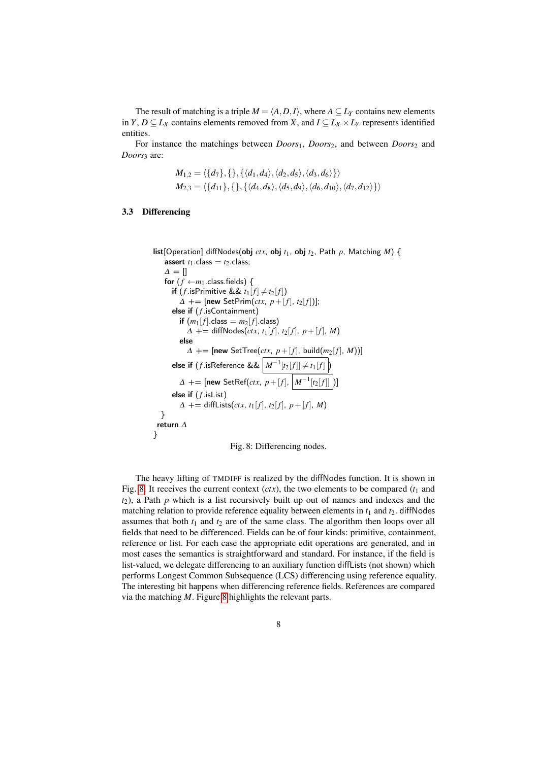The result of matching is a triple  $M = \langle A, D, I \rangle$ , where  $A \subseteq L_Y$  contains new elements in *Y*, *D* ⊆ *L*<sub>*X*</sub> contains elements removed from *X*, and *I* ⊆ *L*<sub>*X*</sub> × *L*<sub>*Y*</sub> represents identified entities.

For instance the matchings between *Doors*<sub>1</sub>, *Doors*<sub>2</sub>, and between *Doors*<sub>2</sub> and *Doors*<sup>3</sup> are:

$$
M_{1,2} = \langle \{d_7\}, \{\}, \{\langle d_1, d_4 \rangle, \langle d_2, d_5 \rangle, \langle d_3, d_6 \rangle\} \rangle
$$
  

$$
M_{2,3} = \langle \{d_{11}\}, \{\}, \{\langle d_4, d_8 \rangle, \langle d_5, d_9 \rangle, \langle d_6, d_{10} \rangle, \langle d_7, d_{12} \rangle\} \rangle
$$

#### <span id="page-7-0"></span>3.3 Differencing

```
list[Operation] diffNodes(obj ctx, obj t_1, obj t_2, Path p, Matching M) {
    assert t_1.class = t_2.class;
    \Delta = \Pifor (f \leftarrow m_1.class.fields) {
      if (f .isPrimitive && t_1[f] \neq t_2[f])
         \Delta += [new SetPrim(ctx, p + [f], t_2[f])];
       else if (f .isContainment)
         if (m_1[f].class = m_2[f].class)
            \Delta + = diffNodes(ctx, t<sub>1</sub>[f], t<sub>2</sub>[f], p + [f], M)
         else
            \Delta += [new SetTree(ctx, p+[f], build(m_2[f], M))]
       \textsf{else if } (f.\textsf{isReference} \ \&\&\ \big|\ M^{-1}[t_2[f]] \neq t_1[f] \ \big|)\varDelta += [new SetRef(ctx, p+[f], \big|M^{-1}[t_2[f]]\big|)]
       else if (f .isList)
         Δ += diffLists(ctx, t<sub>1</sub>[f], t<sub>2</sub>[f], p+[f], M)
  }
 return ∆
}
                            Fig. 8: Differencing nodes.
```
The heavy lifting of TMDIFF is realized by the diffNodes function. It is shown in Fig. [8.](#page-7-0) It receives the current context  $(ctx)$ , the two elements to be compared  $(t<sub>1</sub>$  and *t*2), a Path *p* which is a list recursively built up out of names and indexes and the matching relation to provide reference equality between elements in  $t_1$  and  $t_2$ . diffNodes assumes that both  $t_1$  and  $t_2$  are of the same class. The algorithm then loops over all fields that need to be differenced. Fields can be of four kinds: primitive, containment, reference or list. For each case the appropriate edit operations are generated, and in most cases the semantics is straightforward and standard. For instance, if the field is list-valued, we delegate differencing to an auxiliary function diffLists (not shown) which performs Longest Common Subsequence (LCS) differencing using reference equality. The interesting bit happens when differencing reference fields. References are compared via the matching *M*. Figure [8](#page-7-0) highlights the relevant parts.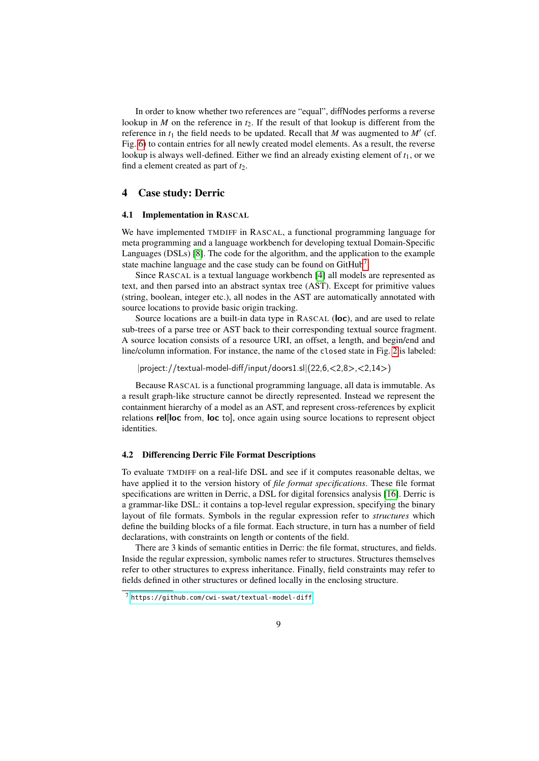In order to know whether two references are "equal", diffNodes performs a reverse lookup in  $M$  on the reference in  $t_2$ . If the result of that lookup is different from the reference in  $t_1$  the field needs to be updated. Recall that *M* was augmented to  $M'$  (cf. Fig. [6\)](#page-5-0) to contain entries for all newly created model elements. As a result, the reverse lookup is always well-defined. Either we find an already existing element of *t*1, or we find a element created as part of  $t_2$ .

# 4 Case study: Derric

#### 4.1 Implementation in RASCAL

We have implemented TMDIFF in RASCAL, a functional programming language for meta programming and a language workbench for developing textual Domain-Specific Languages (DSLs) [\[8\]](#page-14-7). The code for the algorithm, and the application to the example state machine language and the case study can be found on GitHub<sup>[7](#page-8-0)</sup>.

Since RASCAL is a textual language workbench [\[4\]](#page-13-3) all models are represented as text, and then parsed into an abstract syntax tree (AST). Except for primitive values (string, boolean, integer etc.), all nodes in the AST are automatically annotated with source locations to provide basic origin tracking.

Source locations are a built-in data type in RASCAL (loc), and are used to relate sub-trees of a parse tree or AST back to their corresponding textual source fragment. A source location consists of a resource URI, an offset, a length, and begin/end and line/column information. For instance, the name of the closed state in Fig. [2](#page-3-0) is labeled:

|project://textual-model-diff/input/doors1.sl|(22,6,<2,8>,<2,14>)

Because RASCAL is a functional programming language, all data is immutable. As a result graph-like structure cannot be directly represented. Instead we represent the containment hierarchy of a model as an AST, and represent cross-references by explicit relations rel[loc from, loc to], once again using source locations to represent object identities.

#### 4.2 Differencing Derric File Format Descriptions

To evaluate TMDIFF on a real-life DSL and see if it computes reasonable deltas, we have applied it to the version history of *file format specifications*. These file format specifications are written in Derric, a DSL for digital forensics analysis [\[16\]](#page-14-8). Derric is a grammar-like DSL: it contains a top-level regular expression, specifying the binary layout of file formats. Symbols in the regular expression refer to *structures* which define the building blocks of a file format. Each structure, in turn has a number of field declarations, with constraints on length or contents of the field.

There are 3 kinds of semantic entities in Derric: the file format, structures, and fields. Inside the regular expression, symbolic names refer to structures. Structures themselves refer to other structures to express inheritance. Finally, field constraints may refer to fields defined in other structures or defined locally in the enclosing structure.

<span id="page-8-0"></span> $^7$  <https://github.com/cwi-swat/textual-model-diff>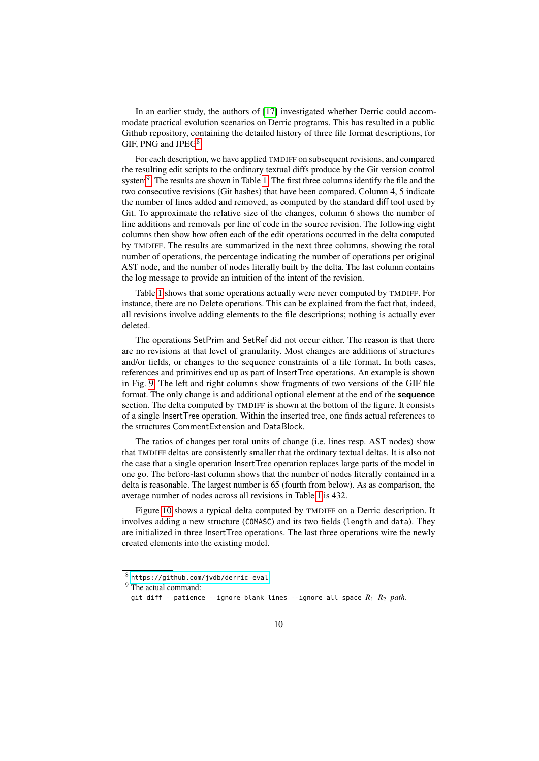In an earlier study, the authors of [\[17\]](#page-14-9) investigated whether Derric could accommodate practical evolution scenarios on Derric programs. This has resulted in a public Github repository, containing the detailed history of three file format descriptions, for GIF, PNG and  $JPEG<sup>8</sup>$  $JPEG<sup>8</sup>$  $JPEG<sup>8</sup>$ .

For each description, we have applied TMDIFF on subsequent revisions, and compared the resulting edit scripts to the ordinary textual diffs produce by the Git version control system<sup>[9](#page-9-1)</sup>. The results are shown in Table [1.](#page-10-0) The first three columns identify the file and the two consecutive revisions (Git hashes) that have been compared. Column 4, 5 indicate the number of lines added and removed, as computed by the standard diff tool used by Git. To approximate the relative size of the changes, column 6 shows the number of line additions and removals per line of code in the source revision. The following eight columns then show how often each of the edit operations occurred in the delta computed by TMDIFF. The results are summarized in the next three columns, showing the total number of operations, the percentage indicating the number of operations per original AST node, and the number of nodes literally built by the delta. The last column contains the log message to provide an intuition of the intent of the revision.

Table [1](#page-10-0) shows that some operations actually were never computed by TMDIFF. For instance, there are no Delete operations. This can be explained from the fact that, indeed, all revisions involve adding elements to the file descriptions; nothing is actually ever deleted.

The operations SetPrim and SetRef did not occur either. The reason is that there are no revisions at that level of granularity. Most changes are additions of structures and/or fields, or changes to the sequence constraints of a file format. In both cases, references and primitives end up as part of InsertTree operations. An example is shown in Fig. [9.](#page-11-0) The left and right columns show fragments of two versions of the GIF file format. The only change is and additional optional element at the end of the **sequence** section. The delta computed by TMDIFF is shown at the bottom of the figure. It consists of a single InsertTree operation. Within the inserted tree, one finds actual references to the structures CommentExtension and DataBlock.

The ratios of changes per total units of change (i.e. lines resp. AST nodes) show that TMDIFF deltas are consistently smaller that the ordinary textual deltas. It is also not the case that a single operation InsertTree operation replaces large parts of the model in one go. The before-last column shows that the number of nodes literally contained in a delta is reasonable. The largest number is 65 (fourth from below). As as comparison, the average number of nodes across all revisions in Table [1](#page-10-0) is 432.

Figure [10](#page-12-0) shows a typical delta computed by TMDIFF on a Derric description. It involves adding a new structure (COMASC) and its two fields (length and data). They are initialized in three InsertTree operations. The last three operations wire the newly created elements into the existing model.

<span id="page-9-0"></span> $^8$  <code><https://github.com/jvdb/derric-eval></code>

<span id="page-9-1"></span><sup>9</sup> The actual command:

git diff --patience --ignore-blank-lines --ignore-all-space *R*<sup>1</sup> *R*<sup>2</sup> *path*.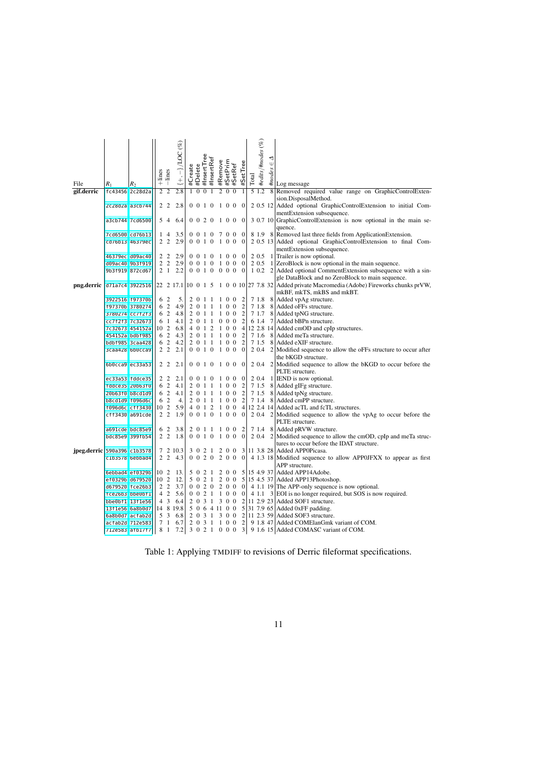<span id="page-10-0"></span>

|                             |                   |                   |                |                | $\{+, -\} / LOC$ (%) | #Create | #Delete   | #InsertTree<br>#InsertRef |                     |                | #Remove<br>#SetPrim<br>#SetRef | #SetTree                |       | #edits/#nodes (%) |   | $\frac{d}{d}$<br>$\frac{d}{d}$<br>$\frac{d}{d}$<br>$\frac{d}{d}$<br>$\frac{d}{d}$<br>$\frac{d}{d}$<br>$\frac{d}{d}$<br>$\frac{d}{d}$<br>$\frac{d}{d}$<br>$\frac{d}{d}$<br>$\frac{d}{d}$<br>$\frac{d}{d}$<br>$\frac{d}{d}$<br><br>$\frac{d}{d}$<br><br><br><br><br><br><br><br><br><br><br><br><br><br><br><br><br><br><br><br><br><br><br><br><br><br><br> |
|-----------------------------|-------------------|-------------------|----------------|----------------|----------------------|---------|-----------|---------------------------|---------------------|----------------|--------------------------------|-------------------------|-------|-------------------|---|------------------------------------------------------------------------------------------------------------------------------------------------------------------------------------------------------------------------------------------------------------------------------------------------------------------------------------------------------------|
| File                        | $R_1$             | $R_{2}$           | $+$ lines      | $-lines$       |                      |         |           |                           |                     |                |                                |                         | Total |                   |   |                                                                                                                                                                                                                                                                                                                                                            |
| gif.derric                  |                   | fc43456 2c28d2a   | $\overline{2}$ | $\overline{2}$ | 2.8                  |         | $1\quad0$ | $\overline{0}$            | $\overline{2}$<br>1 | $\overline{0}$ | $\overline{0}$                 | 1                       |       | 51.2              | 8 | Removed required value range on GraphicControlExten-                                                                                                                                                                                                                                                                                                       |
|                             |                   |                   |                |                |                      |         |           |                           |                     |                |                                |                         |       |                   |   | sion.DisposalMethod.                                                                                                                                                                                                                                                                                                                                       |
|                             |                   | 2c28d2a a3cb744   |                | 2 <sub>2</sub> | 2.8                  |         |           | 0 0 1 0                   |                     |                | 1 0 0                          | $\bf{0}$                |       | 2 0.5 12          |   | Added optional GraphicControlExtension to initial Com-                                                                                                                                                                                                                                                                                                     |
|                             |                   |                   |                |                |                      |         |           |                           |                     |                |                                |                         |       |                   |   | mentExtension subsequence.                                                                                                                                                                                                                                                                                                                                 |
|                             |                   | a3cb744 7cd6500   |                | 54             | 6.4                  |         |           |                           | 0 0 2 0 1 0 0 0     |                |                                |                         |       |                   |   | 3 0.7 10 GraphicControlExtension is now optional in the main se-<br>quence.                                                                                                                                                                                                                                                                                |
|                             |                   | 7cd6500 cd76b13   |                | $1\quad4$      | 3.5                  |         |           |                           | 0 0 1 0 7 0 0       |                |                                | $\mathbf{0}$            |       |                   |   | 8 1.9 8 Removed last three fields from Application Extension.                                                                                                                                                                                                                                                                                              |
|                             |                   | cd76b13 46379ec   |                | 2 <sub>2</sub> | 2.9                  |         |           | 0 0 1 0                   |                     |                | 1 0 0                          | $\mathbf{0}$            |       |                   |   | 2 0.5 13 Added optional GraphicControlExtension to final Com-                                                                                                                                                                                                                                                                                              |
|                             |                   |                   |                |                |                      |         |           |                           |                     |                |                                |                         |       |                   |   | mentExtension subsequence.                                                                                                                                                                                                                                                                                                                                 |
|                             |                   | 46379ec d09ac40   |                | 2 <sub>2</sub> | 2.9                  |         |           |                           | 0 0 1 0 1 0 0 0     |                |                                |                         |       |                   |   | 2 0.5 1 Trailer is now optional.                                                                                                                                                                                                                                                                                                                           |
|                             |                   | d09ac40 9b3f919   |                | 2 <sub>2</sub> | 2.9                  |         |           | 0 0 1 0                   |                     | 1 0 0          |                                | $\boldsymbol{0}$        |       | 2 0.5             |   | 1 ZeroBlock is now optional in the main sequence.                                                                                                                                                                                                                                                                                                          |
|                             |                   | 9b3f919 872cd67   |                | 2 <sub>1</sub> | 2.2                  |         |           |                           | 0 0 1 0 0 0 0       |                |                                | $\mathbf{0}$            |       | $1\,0.2$          |   | 2 Added optional CommentExtension subsequence with a sin-<br>gle DataBlock and no ZeroBlock to main sequence.                                                                                                                                                                                                                                              |
| png.derric d71a7c4 3922516  |                   |                   |                |                | 22 2 17.1            |         |           |                           |                     |                |                                |                         |       |                   |   | $\begin{bmatrix} 10 & 0 & 1 & 5 & 1 & 0 & 0 & 10 & 27 & 7.8 & 32 \end{bmatrix}$ Added private Macromedia (Adobe) Fireworks chunks prVW,<br>mkBF, mkTS, mkBS and mkBT.                                                                                                                                                                                      |
|                             |                   | 3922516 f97370b   |                | 6 2            | 5.                   |         |           | 2011                      |                     |                | $1\,0\,0$                      | $\overline{\mathbf{c}}$ |       | 7 1.8             |   | 8 Added vpAg structure.                                                                                                                                                                                                                                                                                                                                    |
|                             |                   | f97370b 3780274   |                | 62             | 4.9                  |         |           | 2 0 1 1                   |                     |                | 1 0 0                          | $\boldsymbol{2}$        |       | 7 1.8             |   | 8 Added oFFs structure.                                                                                                                                                                                                                                                                                                                                    |
|                             |                   | 3780274 cc7f2f3   |                | 6 2            | 4.8                  |         |           | 2 0 1 1                   |                     |                | 1 0 0                          | $\overline{c}$          |       | 7 1.7             |   | 8 Added tpNG structure.                                                                                                                                                                                                                                                                                                                                    |
|                             |                   | cc7f2f3 7c32673   |                | 6 1            | 4.1                  |         |           |                           | 2 0 1 1 0 0 0       |                |                                | $\overline{2}$          |       | 6 1.4             |   | 7 Added bBPn structure.                                                                                                                                                                                                                                                                                                                                    |
|                             |                   | 7c32673 454152a   | 10 2           |                | 6.8                  |         |           |                           | 4 0 1 2 1 0 0       |                |                                | $\overline{4}$          |       |                   |   | 12 2.8 14 Added cmOD and cpIp structures.                                                                                                                                                                                                                                                                                                                  |
|                             |                   | 454152a bdbf985   |                | 6 2            | 4.3                  |         |           | 2 0 1 1                   |                     |                | 1 0 0                          | $\overline{c}$          |       |                   |   | 7 1.6 8 Added meTa structure.                                                                                                                                                                                                                                                                                                                              |
|                             | bdbf985 3caa428   |                   |                | 6 2            | 4.2                  |         |           |                           | 2 0 1 1 1 0 0       |                |                                | $\overline{2}$          |       | 7 1.5             |   | 8 Added eXIF structure.                                                                                                                                                                                                                                                                                                                                    |
|                             |                   | 3caa428 6b0cca9   |                | 2 <sub>2</sub> | 2.1                  |         |           | 0 0 1 0                   |                     |                | 1 0 0                          | $\theta$                |       | 2 0.4             |   | 2 Modified sequence to allow the oFFs structure to occur after                                                                                                                                                                                                                                                                                             |
|                             | 6b0cca9 ec33a53   |                   |                | 2 <sub>2</sub> | 2.1                  |         |           |                           |                     |                |                                |                         |       |                   |   | the bKGD structure.                                                                                                                                                                                                                                                                                                                                        |
|                             |                   |                   |                |                |                      |         |           |                           | 0 0 1 0 1 0 0 0     |                |                                |                         |       |                   |   | 2 0.4 2 Modified sequence to allow the bKGD to occur before the                                                                                                                                                                                                                                                                                            |
|                             | ec33a53   fddce35 |                   |                | 22             | 2.1                  |         |           | 0 0 1 0                   |                     |                | 1 0 0                          | $\bf{0}$                |       |                   |   | PLTE structure.<br>2 0.4 1 IEND is now optional.                                                                                                                                                                                                                                                                                                           |
|                             |                   | fddce35 20b63f0   |                | 62             | 4.1                  |         |           |                           | 2 0 1 1 1 0 0       |                |                                | $\sqrt{2}$              |       | 7 1.5             |   | 8 Added gIFg structure.                                                                                                                                                                                                                                                                                                                                    |
|                             |                   | 20b63f0 b8cd1d9   |                | 6 2            | 4.1                  |         |           |                           | 2 0 1 1 1 0 0       |                |                                | $\boldsymbol{2}$        |       | 7 1.5             |   | 8 Added tpNg structure.                                                                                                                                                                                                                                                                                                                                    |
|                             |                   | b8cd1d9 f096d6c   | 6              | 2              | 4.                   |         |           | 2 0 1 1                   |                     |                | $1\ 0\ 0$                      | $\overline{2}$          |       |                   |   | 7 1.4 8 Added cmPP structure.                                                                                                                                                                                                                                                                                                                              |
|                             |                   | f096d6c   cff3430 | 10 2           |                | 5.9                  |         |           | 4 0 1 2                   |                     |                | 1 0 0                          | $\overline{4}$          |       |                   |   | 12 2.4 14 Added acTL and fcTL structures.                                                                                                                                                                                                                                                                                                                  |
|                             |                   | cff3430 a691cde   |                | 2 <sub>2</sub> | 1.9                  |         |           | 0 0 1 0                   |                     |                | 1 0 0                          | $\overline{0}$          |       |                   |   | 2 0.4 2 Modified sequence to allow the vpAg to occur before the                                                                                                                                                                                                                                                                                            |
|                             |                   |                   |                |                |                      |         |           |                           |                     |                |                                |                         |       |                   |   | PLTE structure.                                                                                                                                                                                                                                                                                                                                            |
|                             |                   | a691cde bdc85e9   |                | 6 2            | 3.8                  |         |           | 2 0 1 1                   |                     |                | 1 0 0                          | $\overline{2}$          |       |                   |   | 7 1.4 8 Added pRVW structure.                                                                                                                                                                                                                                                                                                                              |
|                             |                   | bdc85e9 399fb54   |                | 2 <sub>2</sub> | 1.8                  |         |           | 0 0 1 0                   |                     |                | 1 0 0                          | $\mathbf{0}$            |       | 2 0.4             |   | 2 Modified sequence to allow the cmOD, cpIp and meTa struc-                                                                                                                                                                                                                                                                                                |
|                             |                   |                   |                |                |                      |         |           |                           |                     |                |                                |                         |       |                   |   | tures to occur before the IDAT structure.                                                                                                                                                                                                                                                                                                                  |
| jpeg.derric 590a396 c1b3578 |                   |                   |                |                | 7 2 10.3             |         |           | 3 0 2 1                   |                     |                | 200                            | 3                       |       |                   |   | 11 3.8 28 Added APP0Picasa.                                                                                                                                                                                                                                                                                                                                |
|                             |                   | c1b3578 6ebbad4   |                | 2 <sub>2</sub> | 4.3                  |         |           | 0 0 2 0                   |                     |                | 200                            | $\mathbf{0}$            |       |                   |   | 4 1.3 18 Modified sequence to allow APP0JFXX to appear as first                                                                                                                                                                                                                                                                                            |
|                             |                   |                   |                |                |                      |         |           |                           |                     |                |                                |                         |       |                   |   | APP structure.                                                                                                                                                                                                                                                                                                                                             |
|                             |                   | 6ebbad4 ef0329b   | 10 2           |                | 13.                  |         |           |                           | 5 0 2 1 2 0 0       |                |                                |                         |       |                   |   | 5 15 4.9 37 Added APP14Adobe.                                                                                                                                                                                                                                                                                                                              |
|                             |                   | ef0329b d679520   | 10 2           |                | 12.                  |         |           | 5 0 2 1                   |                     |                | 2 0 0                          | 5                       |       |                   |   | 15 4.5 37 Added APP13Photoshop.                                                                                                                                                                                                                                                                                                                            |
|                             |                   | d679520 fce26b3   |                | 2 <sub>2</sub> | 3.7                  |         |           |                           | 0 0 2 0 2 0 0 0     |                |                                |                         |       |                   |   | 4 1.1 19 The APP-only sequence is now optional.                                                                                                                                                                                                                                                                                                            |
|                             |                   | fce26b3 bbe0bf1   |                | 42             | 5.6                  |         |           | $0 \t0 \t2 \t1$           |                     |                | 1 0 0                          | $\bf{0}$                |       | 4 1.1             |   | 3 EOI is no longer required, but SOS is now required.                                                                                                                                                                                                                                                                                                      |
|                             |                   | bbe0bf1 13f1e56   |                | 4 3            | 6.4                  |         |           | 2 0 3 1                   |                     |                | 3 0 0                          |                         |       |                   |   | $2 11$ 2.9 23 Added SOF1 structure.                                                                                                                                                                                                                                                                                                                        |
|                             | 13f1e56 6a8b0d7   |                   |                |                | 14 8 19.8            |         |           |                           | 5 0 6 4 11 0 0      |                |                                |                         |       |                   |   | $5 317.965 $ Added 0xFF padding.                                                                                                                                                                                                                                                                                                                           |
|                             |                   | 6a8b0d7 acfab2d   |                | 5 3            | 6.8                  |         |           | 2 0 3 1                   |                     |                | 3 0 0                          |                         |       |                   |   | $2 11$ 2.3 59 Added SOF3 structure.                                                                                                                                                                                                                                                                                                                        |
|                             |                   | acfab2d 712e583   |                | 7 1            | 6.7                  |         |           | 2 0 3 1                   |                     |                | 1 0 0                          | $\overline{2}$          |       |                   |   | 9 1.8 47 Added COMElanGmk variant of COM.                                                                                                                                                                                                                                                                                                                  |
|                             |                   | 712e583 afb17f7   | 8              | -1             | 7.2                  |         |           |                           | 3 0 2 1 0 0 0       |                |                                | $\vert$ 3               |       |                   |   | 9 1.6 15 Added COMASC variant of COM.                                                                                                                                                                                                                                                                                                                      |

Table 1: Applying TMDIFF to revisions of Derric fileformat specifications.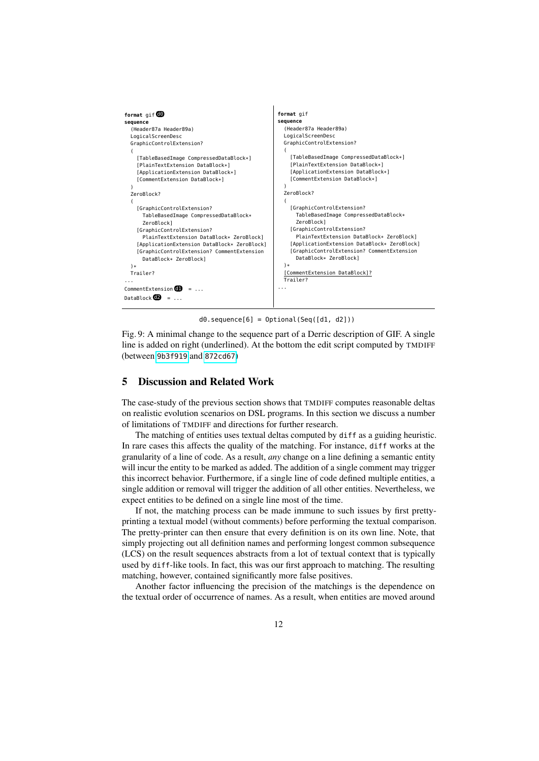```
format gif<sup>co</sup>
sequence
  (Header87a Header89a)
 LogicalScreenDesc
  GraphicControlExtension?
  (
    [TableBasedImage CompressedDataBlock*]
    [PlainTextExtension DataBlock*]
    [ApplicationExtension DataBlock*]
    [CommentExtension DataBlock*]
  )
  ZeroBlock?
  (
    [GraphicControlExtension?
      TableBasedImage CompressedDataBlock*
      ZeroBlock]
    [GraphicControlExtension?
      PlainTextExtension DataBlock* ZeroBlock]
    [ApplicationExtension DataBlock* ZeroBlock]
    [GraphicControlExtension? CommentExtension
      DataBlock* ZeroBlock]
  \lambdaTrailer?
...
CommentExtension = ...
DataBlock\mathbf{D} = ...
                                                     format gif
                                                     sequence
                                                       (Header87a Header89a)
                                                       LogicalScreenDesc
                                                       GraphicControlExtension?
                                                       (
                                                         [TableBasedImage CompressedDataBlock*]
                                                         [PlainTextExtension DataBlock*]
                                                         [ApplicationExtension DataBlock*]
                                                         [CommentExtension DataBlock*]
                                                       )
ZeroBlock?
                                                       (
                                                         [GraphicControlExtension?
                                                            TableBasedImage CompressedDataBlock*
                                                           ZeroBlock]
                                                         [GraphicControlExtension?
                                                           PlainTextExtension DataBlock* ZeroBlock]
                                                         [ApplicationExtension DataBlock* ZeroBlock]
                                                          [GraphicControlExtension? CommentExtension
                                                           DataBlock* ZeroBlock]
                                                       )*
                                                       [CommentExtension DataBlock]?
                                                       Trailer?
                                                     ...
```
 $d0.\text{sequence}[6] = \text{Optional}(\text{Seq}([d1, d2]))$ 

Fig. 9: A minimal change to the sequence part of a Derric description of GIF. A single line is added on right (underlined). At the bottom the edit script computed by TMDIFF (between [9b3f919](https://github.com/jvdb/derric-eval/commit/9b3f919) and [872cd67](https://github.com/jvdb/derric-eval/commit/872cd67))

# 5 Discussion and Related Work

The case-study of the previous section shows that TMDIFF computes reasonable deltas on realistic evolution scenarios on DSL programs. In this section we discuss a number of limitations of TMDIFF and directions for further research.

The matching of entities uses textual deltas computed by diff as a guiding heuristic. In rare cases this affects the quality of the matching. For instance, diff works at the granularity of a line of code. As a result, *any* change on a line defining a semantic entity will incur the entity to be marked as added. The addition of a single comment may trigger this incorrect behavior. Furthermore, if a single line of code defined multiple entities, a single addition or removal will trigger the addition of all other entities. Nevertheless, we expect entities to be defined on a single line most of the time.

If not, the matching process can be made immune to such issues by first prettyprinting a textual model (without comments) before performing the textual comparison. The pretty-printer can then ensure that every definition is on its own line. Note, that simply projecting out all definition names and performing longest common subsequence (LCS) on the result sequences abstracts from a lot of textual context that is typically used by diff-like tools. In fact, this was our first approach to matching. The resulting matching, however, contained significantly more false positives.

Another factor influencing the precision of the matchings is the dependence on the textual order of occurrence of names. As a result, when entities are moved around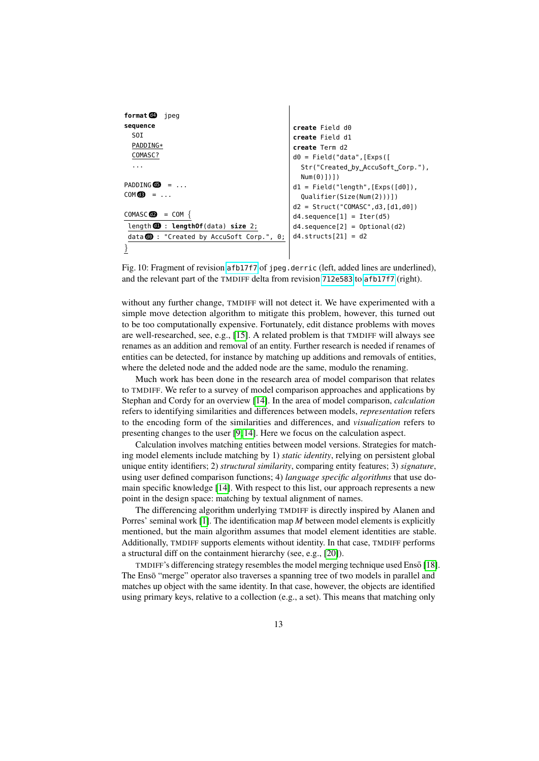```
format<sup>(1</sup>a jpeg
sequence
  S<sub>0</sub>T
  PADDING*
  COMASC?
  ...
PADDING \oplus = \ldotsCOM \bullet \bullet = \ldotsCOMASC \bullet = COM \{length d1 : lengthOf(data) size 2;
 data 1 : "Created by AccuSoft Corp.", 0;
}
                                                   create Field d0
                                                   create Field d1
                                                   create Term d2
                                                   d0 = Field("data",[Exps([
                                                     Str("Created_by_AccuSoft_Corp."),
                                                     Num(0)])])
                                                   d1 = Field("length",[Exps([d0]),
                                                     Qualifier(Size(Num(2)))])
                                                   d2 = Struct("COMASC",d3,[d1,d0])
                                                   d4.\nsequence[1] = \text{Iter}(d5)d4.\nsequence[2] = \n    \text{Optional}(d2)d4.structs[21] = d2
```
Fig. 10: Fragment of revision [afb17f7](https://github.com/jvdb/derric-eval/commit/afb17f7) of jpeg.derric (left, added lines are underlined), and the relevant part of the TMDIFF delta from revision [712e583](https://github.com/jvdb/derric-eval/commit/712e583) to [afb17f7](https://github.com/jvdb/derric-eval/commit/afb17f7) (right).

without any further change, TMDIFF will not detect it. We have experimented with a simple move detection algorithm to mitigate this problem, however, this turned out to be too computationally expensive. Fortunately, edit distance problems with moves are well-researched, see, e.g., [\[15\]](#page-14-10). A related problem is that TMDIFF will always see renames as an addition and removal of an entity. Further research is needed if renames of entities can be detected, for instance by matching up additions and removals of entities, where the deleted node and the added node are the same, modulo the renaming.

Much work has been done in the research area of model comparison that relates to TMDIFF. We refer to a survey of model comparison approaches and applications by Stephan and Cordy for an overview [\[14\]](#page-14-11). In the area of model comparison, *calculation* refers to identifying similarities and differences between models, *representation* refers to the encoding form of the similarities and differences, and *visualization* refers to presenting changes to the user [\[9,](#page-14-12) [14\]](#page-14-11). Here we focus on the calculation aspect.

Calculation involves matching entities between model versions. Strategies for matching model elements include matching by 1) *static identity*, relying on persistent global unique entity identifiers; 2) *structural similarity*, comparing entity features; 3) *signature*, using user defined comparison functions; 4) *language specific algorithms* that use domain specific knowledge [\[14\]](#page-14-11). With respect to this list, our approach represents a new point in the design space: matching by textual alignment of names.

The differencing algorithm underlying TMDIFF is directly inspired by Alanen and Porres' seminal work [\[1\]](#page-13-0). The identification map *M* between model elements is explicitly mentioned, but the main algorithm assumes that model element identities are stable. Additionally, TMDIFF supports elements without identity. In that case, TMDIFF performs a structural diff on the containment hierarchy (see, e.g., [\[20\]](#page-14-5)).

TMDIFF's differencing strategy resembles the model merging technique used Ensō [\[18\]](#page-14-13). The Enso "merge" operator also traverses a spanning tree of two models in parallel and matches up object with the same identity. In that case, however, the objects are identified using primary keys, relative to a collection (e.g., a set). This means that matching only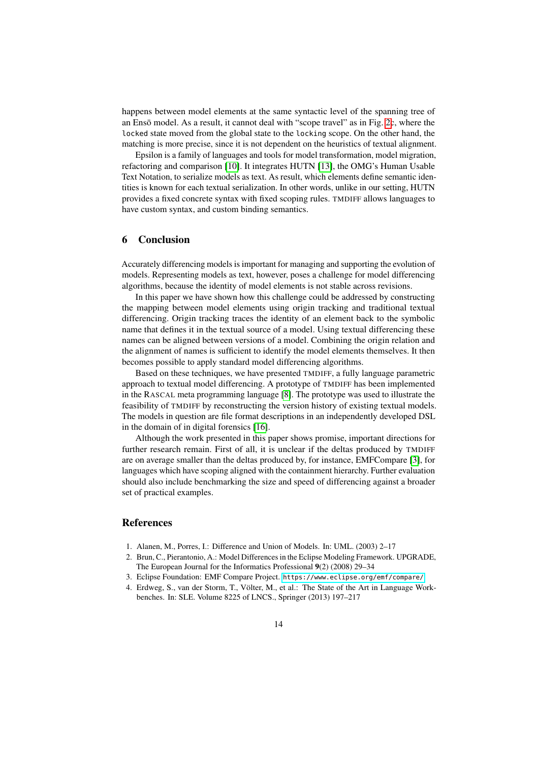happens between model elements at the same syntactic level of the spanning tree of an Ensō model. As a result, it cannot deal with "scope travel" as in Fig. [2c](#page-3-0), where the locked state moved from the global state to the locking scope. On the other hand, the matching is more precise, since it is not dependent on the heuristics of textual alignment.

Epsilon is a family of languages and tools for model transformation, model migration, refactoring and comparison [\[10\]](#page-14-14). It integrates HUTN [\[13\]](#page-14-15), the OMG's Human Usable Text Notation, to serialize models as text. As result, which elements define semantic identities is known for each textual serialization. In other words, unlike in our setting, HUTN provides a fixed concrete syntax with fixed scoping rules. TMDIFF allows languages to have custom syntax, and custom binding semantics.

### 6 Conclusion

Accurately differencing models is important for managing and supporting the evolution of models. Representing models as text, however, poses a challenge for model differencing algorithms, because the identity of model elements is not stable across revisions.

In this paper we have shown how this challenge could be addressed by constructing the mapping between model elements using origin tracking and traditional textual differencing. Origin tracking traces the identity of an element back to the symbolic name that defines it in the textual source of a model. Using textual differencing these names can be aligned between versions of a model. Combining the origin relation and the alignment of names is sufficient to identify the model elements themselves. It then becomes possible to apply standard model differencing algorithms.

Based on these techniques, we have presented TMDIFF, a fully language parametric approach to textual model differencing. A prototype of TMDIFF has been implemented in the RASCAL meta programming language [\[8\]](#page-14-7). The prototype was used to illustrate the feasibility of TMDIFF by reconstructing the version history of existing textual models. The models in question are file format descriptions in an independently developed DSL in the domain of in digital forensics [\[16\]](#page-14-8).

Although the work presented in this paper shows promise, important directions for further research remain. First of all, it is unclear if the deltas produced by TMDIFF are on average smaller than the deltas produced by, for instance, EMFCompare [\[3\]](#page-13-2), for languages which have scoping aligned with the containment hierarchy. Further evaluation should also include benchmarking the size and speed of differencing against a broader set of practical examples.

# References

- <span id="page-13-0"></span>1. Alanen, M., Porres, I.: Difference and Union of Models. In: UML. (2003) 2–17
- <span id="page-13-1"></span>2. Brun, C., Pierantonio, A.: Model Differences in the Eclipse Modeling Framework. UPGRADE, The European Journal for the Informatics Professional 9(2) (2008) 29–34
- <span id="page-13-2"></span>3. Eclipse Foundation: EMF Compare Project. <https://www.eclipse.org/emf/compare/>
- <span id="page-13-3"></span>4. Erdweg, S., van der Storm, T., Völter, M., et al.: The State of the Art in Language Workbenches. In: SLE. Volume 8225 of LNCS., Springer (2013) 197–217